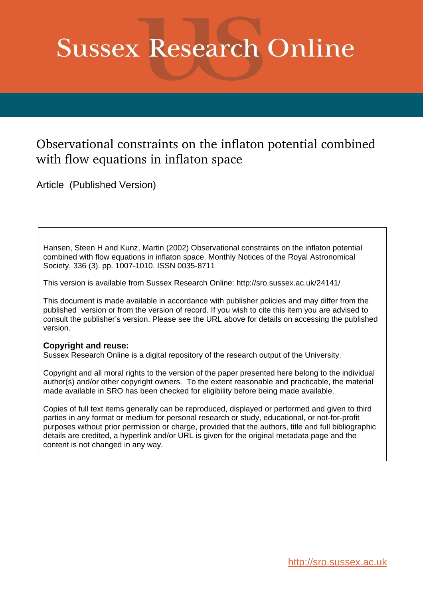# **Sussex Research Online**

# Observational constraints on the inflaton potential combined with flow equations in inflaton space

Article (Published Version)

Hansen, Steen H and Kunz, Martin (2002) Observational constraints on the inflaton potential combined with flow equations in inflaton space. Monthly Notices of the Royal Astronomical Society, 336 (3). pp. 1007-1010. ISSN 0035-8711

This version is available from Sussex Research Online: http://sro.sussex.ac.uk/24141/

This document is made available in accordance with publisher policies and may differ from the published version or from the version of record. If you wish to cite this item you are advised to consult the publisher's version. Please see the URL above for details on accessing the published version.

### **Copyright and reuse:**

Sussex Research Online is a digital repository of the research output of the University.

Copyright and all moral rights to the version of the paper presented here belong to the individual author(s) and/or other copyright owners. To the extent reasonable and practicable, the material made available in SRO has been checked for eligibility before being made available.

Copies of full text items generally can be reproduced, displayed or performed and given to third parties in any format or medium for personal research or study, educational, or not-for-profit purposes without prior permission or charge, provided that the authors, title and full bibliographic details are credited, a hyperlink and/or URL is given for the original metadata page and the content is not changed in any way.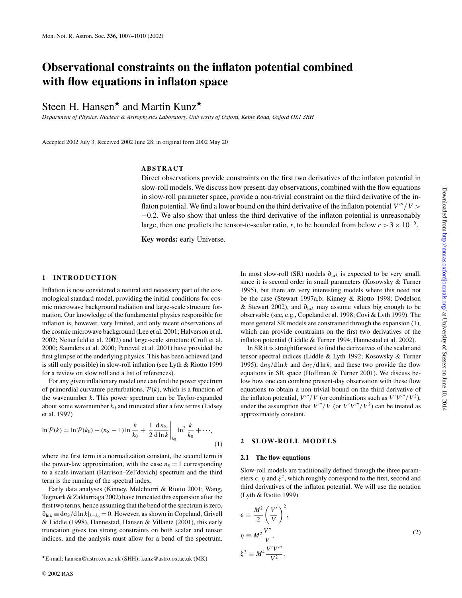## **Observational constraints on the inflaton potential combined with flow equations in inflaton space**

## Steen H. Hansen<sup>\*</sup> and Martin Kunz<sup>\*</sup>

*Department of Physics, Nuclear & Astrophysics Laboratory, University of Oxford, Keble Road, Oxford OX1 3RH*

Accepted 2002 July 3. Received 2002 June 28; in original form 2002 May 20

#### **ABSTRACT**

Direct observations provide constraints on the first two derivatives of the inflaton potential in slow-roll models. We discuss how present-day observations, combined with the flow equations in slow-roll parameter space, provide a non-trivial constraint on the third derivative of the inflaton potential. We find a lower bound on the third derivative of the inflaton potential  $V'''/V$ −0.2. We also show that unless the third derivative of the inflaton potential is unreasonably large, then one predicts the tensor-to-scalar ratio, *r*, to be bounded from below  $r > 3 \times 10^{-6}$ .

**Key words:** early Universe.

#### **1 INTRODUCTION**

Inflation is now considered a natural and necessary part of the cosmological standard model, providing the initial conditions for cosmic microwave background radiation and large-scale structure formation. Our knowledge of the fundamental physics responsible for inflation is, however, very limited, and only recent observations of the cosmic microwave background (Lee et al. 2001; Halverson et al. 2002; Netterfield et al. 2002) and large-scale structure (Croft et al. 2000; Saunders et al. 2000; Percival et al. 2001) have provided the first glimpse of the underlying physics. This has been achieved (and is still only possible) in slow-roll inflation (see Lyth & Riotto 1999 for a review on slow roll and a list of references).

For any given inflationary model one can find the power spectrum of primordial curvature perturbations,  $P(k)$ , which is a function of the wavenumber *k*. This power spectrum can be Taylor-expanded about some wavenumber  $k_0$  and truncated after a few terms (Lidsey et al. 1997)

$$
\ln \mathcal{P}(k) = \ln \mathcal{P}(k_0) + (n_S - 1) \ln \frac{k}{k_0} + \frac{1}{2} \frac{d n_S}{d \ln k} \bigg|_{k_0} \ln^2 \frac{k}{k_0} + \cdots,
$$
\n(1)

where the first term is a normalization constant, the second term is the power-law approximation, with the case  $n<sub>S</sub> = 1$  corresponding to a scale invariant (Harrison–Zel'dovich) spectrum and the third term is the running of the spectral index.

Early data analyses (Kinney, Melchiorri & Riotto 2001; Wang, Tegmark & Zaldarriaga 2002) have truncated this expansion after the first two terms, hence assuming that the bend of the spectrum is zero,  $\partial_{\ln k} \equiv \frac{dn_S}{d} \ln k|_{k=k_0} = 0$ . However, as shown in Copeland, Grivell & Liddle (1998), Hannestad, Hansen & Villante (2001), this early truncation gives too strong constraints on both scalar and tensor indices, and the analysis must allow for a bend of the spectrum.

In most slow-roll (SR) models  $\partial_{\ln k}$  is expected to be very small, since it is second order in small parameters (Kosowsky & Turner 1995), but there are very interesting models where this need not be the case (Stewart 1997a,b; Kinney & Riotto 1998; Dodelson & Stewart 2002), and ∂<sub>lnk</sub> may assume values big enough to be observable (see, e.g., Copeland et al. 1998; Covi & Lyth 1999). The more general SR models are constrained through the expansion (1), which can provide constraints on the first two derivatives of the inflaton potential (Liddle & Turner 1994; Hannestad et al. 2002).

In SR it is straightforward to find the derivatives of the scalar and tensor spectral indices (Liddle & Lyth 1992; Kosowsky & Turner 1995),  $\frac{dn_S}{d \ln k}$  and  $\frac{dn_T}{d \ln k}$ , and these two provide the flow equations in SR space (Hoffman & Turner 2001). We discuss below how one can combine present-day observation with these flow equations to obtain a non-trivial bound on the third derivative of the inflaton potential,  $V'''/V$  (or combinations such as  $V'V'''/V^2$ ), under the assumption that  $V'''/V$  (or  $V'V'''/V^2$ ) can be treated as approximately constant.

#### **2 SLOW-ROLL MODELS**

#### **2.1 The flow equations**

Slow-roll models are traditionally defined through the three parameters  $\epsilon$ ,  $\eta$  and  $\xi^2$ , which roughly correspond to the first, second and third derivatives of the inflaton potential. We will use the notation (Lyth & Riotto 1999)

$$
\epsilon \equiv \frac{M^2}{2} \left( \frac{V'}{V} \right)^2,
$$
  
\n
$$
\eta \equiv M^2 \frac{V''}{V},
$$
  
\n
$$
\xi^2 \equiv M^4 \frac{V'V'''}{V^2},
$$
\n(2)

<sup>⋆</sup>E-mail: hansen@astro.ox.ac.uk (SHH); kunz@astro.ox.ac.uk (MK)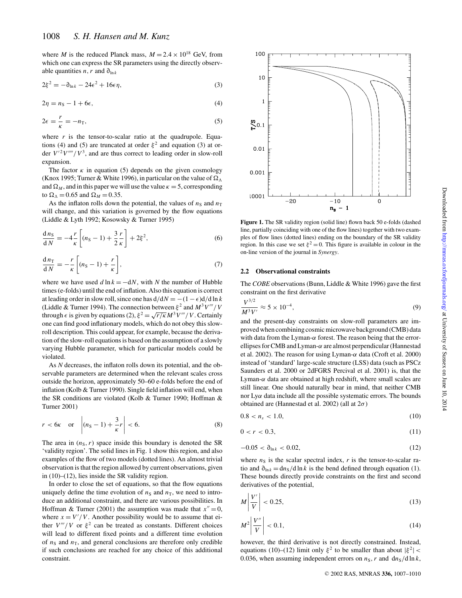where *M* is the reduced Planck mass,  $M = 2.4 \times 10^{18}$  GeV, from which one can express the SR parameters using the directly observable quantities *n*, *r* and  $\partial_{\ln k}$ 

$$
2\xi^2 = -\partial_{\ln k} - 24\epsilon^2 + 16\epsilon \eta,\tag{3}
$$

$$
2\eta = n_S - 1 + 6\epsilon,\tag{4}
$$

$$
2\epsilon = \frac{r}{\kappa} = -n_{\rm T},\tag{5}
$$

where  $r$  is the tensor-to-scalar ratio at the quadrupole. Equations (4) and (5) are truncated at order  $\xi^2$  and equation (3) at order  $V^{\prime 2}V^{\prime\prime\prime\prime}/V^3$ , and are thus correct to leading order in slow-roll expansion.

The factor  $\kappa$  in equation (5) depends on the given cosmology (Knox 1995; Turner & White 1996), in particular on the value of  $\Omega_{\Lambda}$ and  $\Omega_M$ , and in this paper we will use the value  $\kappa = 5$ , corresponding to  $\Omega_{\Lambda} = 0.65$  and  $\Omega_M = 0.35$ .

As the inflaton rolls down the potential, the values of  $n<sub>S</sub>$  and  $n<sub>T</sub>$ will change, and this variation is governed by the flow equations (Liddle & Lyth 1992; Kosowsky & Turner 1995)

$$
\frac{d n_S}{d N} = -4\frac{r}{\kappa} \left[ (n_S - 1) + \frac{3}{2} \frac{r}{\kappa} \right] + 2\xi^2,\tag{6}
$$

$$
\frac{d n_{\rm T}}{d N} = -\frac{r}{\kappa} \left[ (n_{\rm S} - 1) + \frac{r}{\kappa} \right],\tag{7}
$$

where we have used  $d \ln k = -dN$ , with *N* the number of Hubble times (e-folds) until the end of inflation. Also this equation is correct at leading order in slow roll, since one has  $d/dN = -(1 - \epsilon)d/d \ln k$ (Liddle & Turner 1994). The connection between  $\xi^2$  and  $M^3V'''/V$ through  $\epsilon$  is given by equations (2),  $\xi^2 = \sqrt{r/\kappa} M^3 V'''/V$ . Certainly one can find good inflationary models, which do not obey this slowroll description. This could appear, for example, because the derivation of the slow-roll equations is based on the assumption of a slowly varying Hubble parameter, which for particular models could be violated.

As *N* decreases, the inflaton rolls down its potential, and the observable parameters are determined when the relevant scales cross outside the horizon, approximately 50–60 e-folds before the end of inflation (Kolb & Turner 1990). Single field inflation will end, when the SR conditions are violated (Kolb & Turner 1990; Hoffman & Turner 2001)

$$
r < 6\kappa \quad \text{or} \quad \left| (n_{\rm S} - 1) + \frac{3}{\kappa} r \right| < 6. \tag{8}
$$

The area in  $(n<sub>S</sub>, r)$  space inside this boundary is denoted the SR 'validity region'. The solid lines in Fig. 1 show this region, and also examples of the flow of two models (dotted lines). An almost trivial observation is that the region allowed by current observations, given in (10)–(12), lies inside the SR validity region.

In order to close the set of equations, so that the flow equations uniquely define the time evolution of  $n<sub>S</sub>$  and  $n<sub>T</sub>$ , we need to introduce an additional constraint, and there are various possibilities. In Hoffman & Turner (2001) the assumption was made that  $x'' = 0$ , where  $x = V'/V$ . Another possibility would be to assume that either  $V'''/V$  or  $\xi^2$  can be treated as constants. Different choices will lead to different fixed points and a different time evolution of  $n<sub>S</sub>$  and  $n<sub>T</sub>$ , and general conclusions are therefore only credible if such conclusions are reached for any choice of this additional constraint.



**Figure 1.** The SR validity region (solid line) flown back 50 e-folds (dashed line, partially coinciding with one of the flow lines) together with two examples of flow lines (dotted lines) ending on the boundary of the SR validity region. In this case we set  $\xi^2 = 0$ . This figure is available in colour in the on-line version of the journal in *Synergy*.

#### **2.2 Observational constraints**

The *COBE* observations (Bunn, Liddle & White 1996) gave the first constraint on the first derivative

$$
\frac{V^{3/2}}{M^3 V'} \approx 5 \times 10^{-4},\tag{9}
$$

and the present-day constraints on slow-roll parameters are improved when combining cosmic microwave background (CMB) data with data from the Lyman- $\alpha$  forest. The reason being that the errorellipses for CMB and Lyman-α are almost perpendicular (Hannestad et al. 2002). The reason for using Lyman- $\alpha$  data (Croft et al. 2000) instead of 'standard' large-scale structure (LSS) data (such as PSCz Saunders et al. 2000 or 2dFGRS Percival et al. 2001) is, that the Lyman- $\alpha$  data are obtained at high redshift, where small scales are still linear. One should naturally bear in mind, that neither CMB nor  $Ly\alpha$  data include all the possible systematic errors. The bounds obtained are (Hannestad et al. 2002) (all at  $2\sigma$ )

$$
0.8 < n_s < 1.0,\tag{10}
$$

$$
0 < r < 0.3,\tag{11}
$$

$$
-0.05 < \partial_{\ln k} < 0.02,\tag{12}
$$

where  $n<sub>S</sub>$  is the scalar spectral index, *r* is the tensor-to-scalar ratio and  $\partial_{\ln k} = \frac{dn_s}{d \ln k}$  is the bend defined through equation (1). These bounds directly provide constraints on the first and second derivatives of the potential,

$$
M\left|\frac{V'}{V}\right| < 0.25,\tag{13}
$$

$$
M^2 \left| \frac{V''}{V} \right| < 0.1,\tag{14}
$$

however, the third derivative is not directly constrained. Instead, equations (10)–(12) limit only  $\xi^2$  to be smaller than about  $|\xi^2|$ 0.036, when assuming independent errors on  $n<sub>S</sub>$ , *r* and  $dn<sub>S</sub>/d ln k$ ,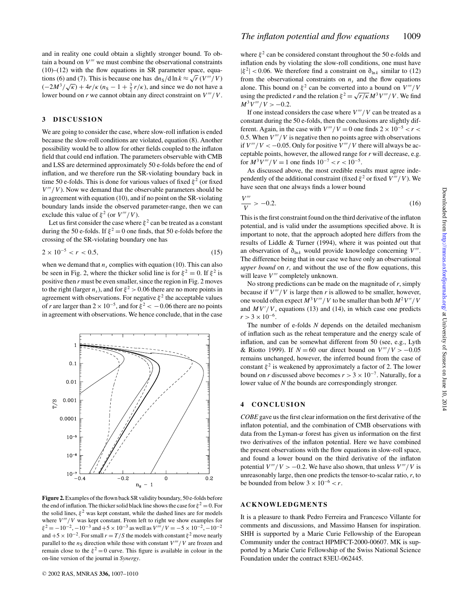and in reality one could obtain a slightly stronger bound. To obtain a bound on *V* ′′′ we must combine the observational constraints  $(10)$ – $(12)$  with the flow equations in SR parameter space, equations (6) and (7). This is because one has  $\frac{dn_S}{d} \ln k \approx \sqrt{r} (V'''/V)$  $\frac{(-2M^3}{\sqrt{k}}) + \frac{4r}{k}$  (*n*<sub>S</sub> − 1 +  $\frac{3}{2}$  *r*/*k*), and since we do not have a lower bound on *r* we cannot obtain any direct constraint on *V* ′′′/*V*.

#### **3 DISCUSSION**

We are going to consider the case, where slow-roll inflation is ended because the slow-roll conditions are violated, equation (8). Another possibility would be to allow for other fields coupled to the inflaton field that could end inflation. The parameters observable with CMB and LSS are determined approximately 50 e-folds before the end of inflation, and we therefore run the SR-violating boundary back in time 50 e-folds. This is done for various values of fixed  $\xi^2$  (or fixed  $V'''/V$ ). Now we demand that the observable parameters should be in agreement with equation (10), and if no point on the SR-violating boundary lands inside the observed parameter-range, then we can exclude this value of  $\xi^2$  (or  $V'''/V$ ).

Let us first consider the case where  $\xi^2$  can be treated as a constant during the 50 e-folds. If  $\xi^2 = 0$  one finds, that 50 e-folds before the crossing of the SR-violating boundary one has

$$
2 \times 10^{-5} < r < 0.5,\tag{15}
$$

when we demand that  $n<sub>s</sub>$  complies with equation (10). This can also be seen in Fig. 2, where the thicker solid line is for  $\xi^2 = 0$ . If  $\xi^2$  is positive then *r* must be even smaller, since the region in Fig. 2 moves to the right (larger  $n_s$ ), and for  $\xi^2 > 0.06$  there are no more points in agreement with observations. For negative  $\xi^2$  the acceptable values of *r* are larger than  $2 \times 10^{-5}$ , and for  $\xi^2 < -0.06$  there are no points in agreement with observations. We hence conclude, that in the case



**Figure 2.**Examples of the flown back SR validity boundary, 50 e-folds before the end of inflation. The thicker solid black line shows the case for  $\xi^2 = 0$ . For the solid lines,  $\xi^2$  was kept constant, while the dashed lines are for models where  $V'''/V$  was kept constant. From left to right we show examples for  $\xi^2 = -10^{-2}$ ,  $-10^{-3}$  and  $+5 \times 10^{-3}$  as well as  $V'''/V = -5 \times 10^{-2}$ ,  $-10^{-2}$ and  $+5 \times 10^{-2}$ . For small  $r = T/S$  the models with constant  $\xi^2$  move nearly parallel to the  $n<sub>S</sub>$  direction while those with constant *V'''* / *V* are frozen and remain close to the  $\xi^2 = 0$  curve. This figure is available in colour in the on-line version of the journal in *Synergy*.

where  $\xi^2$  can be considered constant throughout the 50 e-folds and inflation ends by violating the slow-roll conditions, one must have  $|\xi^2|$  < 0.06. We therefore find a constraint on  $\partial_{\ln k}$  similar to (12) from the observational constraints on  $n<sub>s</sub>$  and the flow equations alone. This bound on  $\xi^2$  can be converted into a bound on  $V'''/V$ using the predicted *r* and the relation  $\xi^2 = \sqrt{r/k} M^3 V''' / V$ . We find  $M^3 V'''/V > -0.2.$ 

If one instead considers the case where  $V'''/V$  can be treated as a constant during the 50 e-folds, then the conclusions are slightly different. Again, in the case with  $V'''/V = 0$  one finds  $2 \times 10^{-5} < r <$ 0.5. When *V* ′′′/*V* is negative then no points agree with observations if  $V'''/V < -0.05$ . Only for positive  $V'''/V$  there will always be acceptable points, however, the allowed range for *r* will decrease, e.g. for  $M^3 V''' / V = 1$  one finds  $10^{-7} < r < 10^{-5}$ .

As discussed above, the most credible results must agree independently of the additional constraint (fixed  $\xi^2$  or fixed  $V'''/V$ ). We have seen that one always finds a lower bound

$$
\frac{V'''}{V} > -0.2. \tag{16}
$$

This is the first constraint found on the third derivative of the inflaton potential, and is valid under the assumptions specified above. It is important to note, that the approach adopted here differs from the results of Liddle & Turner (1994), where it was pointed out that an observation of  $\partial_{\ln k}$  would provide knowledge concerning  $V'''$ . The difference being that in our case we have only an observational *upper bound* on *r*, and without the use of the flow equations, this will leave  $V'''$  completely unknown.

No strong predictions can be made on the magnitude of  $r$ , simply because if  $V'''/V$  is large then *r* is allowed to be smaller, however, one would often expect  $M^3V'''/V$  to be smaller than both  $M^2V''/V$ and  $MV'/V$ , equations (13) and (14), in which case one predicts  $r > 3 \times 10^{-6}$ .

The number of e-folds *N* depends on the detailed mechanism of inflation such as the reheat temperature and the energy scale of inflation, and can be somewhat different from 50 (see, e.g., Lyth & Riotto 1999). If  $N = 60$  our direct bound on  $V'''/V > -0.05$ remains unchanged, however, the inferred bound from the case of constant  $\xi^2$  is weakened by approximately a factor of 2. The lower bound on *r* discussed above becomes  $r > 3 \times 10^{-7}$ . Naturally, for a lower value of *N* the bounds are correspondingly stronger.

#### **4 CONCLUSION**

*COBE* gave us the first clear information on the first derivative of the inflaton potential, and the combination of CMB observations with data from the Lyman- $\alpha$  forest has given us information on the first two derivatives of the inflaton potential. Here we have combined the present observations with the flow equations in slow-roll space, and found a lower bound on the third derivative of the inflaton potential  $V'''/V > -0.2$ . We have also shown, that unless  $V'''/V$  is unreasonably large, then one predicts the tensor-to-scalar ratio, *r*, to be bounded from below  $3 \times 10^{-6} < r$ .

#### **ACKNOWLEDGMENTS**

It is a pleasure to thank Pedro Ferreira and Francesco Villante for comments and discussions, and Massimo Hansen for inspiration. SHH is supported by a Marie Curie Fellowship of the European Community under the contract HPMFCT-2000-00607. MK is supported by a Marie Curie Fellowship of the Swiss National Science Foundation under the contract 83EU-062445.